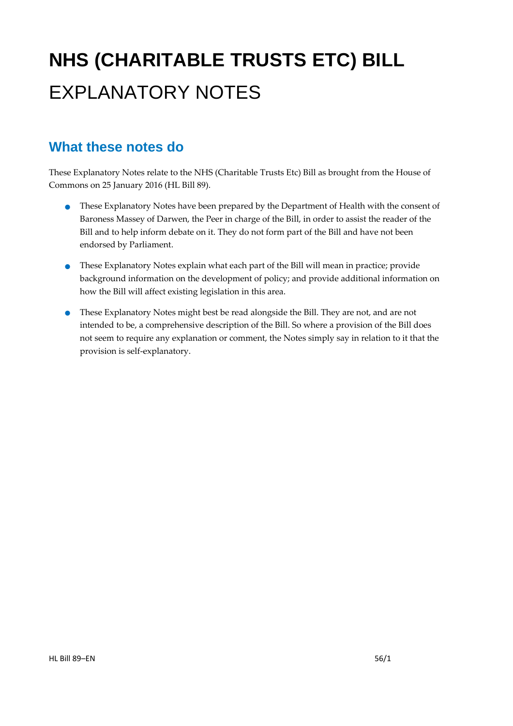# **NHS (CHARITABLE TRUSTS ETC) BILL**  EXPLANATORY NOTES

### **What these notes do**

- **These Explanatory Notes have been prepared by the Department of Health with the consent of** Baroness Massey of Darwen, the Peer in charge of the Bill, in order to assist the reader of the Bill and to help inform debate on it. They do not form part of the Bill and have not been endorsed by Parliament.
- These Explanatory Notes explain what each part of the Bill will mean in practice; provide background information on the development of policy; and provide additional information on how the Bill will affect existing legislation in this area.
- These Explanatory Notes might best be read alongside the Bill. They are not, and are not intended to be, a comprehensive description of the Bill. So where a provision of the Bill does not seem to require any explanation or comment, the Notes simply say in relation to it that the provision is self‐explanatory.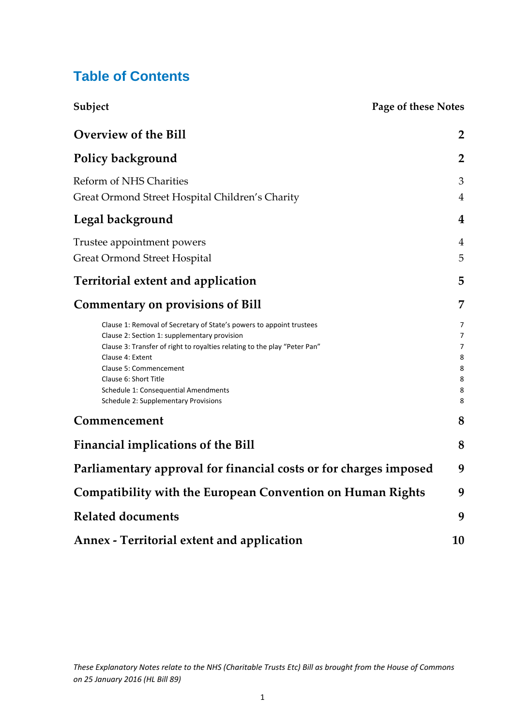### **Table of Contents**

| <b>Page of these Notes</b><br>Subject                                                                                                                                                                                                                                                                                                                    |                                      |
|----------------------------------------------------------------------------------------------------------------------------------------------------------------------------------------------------------------------------------------------------------------------------------------------------------------------------------------------------------|--------------------------------------|
| <b>Overview of the Bill</b>                                                                                                                                                                                                                                                                                                                              | $\overline{2}$                       |
| Policy background                                                                                                                                                                                                                                                                                                                                        | $\overline{2}$                       |
| <b>Reform of NHS Charities</b><br>Great Ormond Street Hospital Children's Charity                                                                                                                                                                                                                                                                        | 3<br>$\overline{4}$                  |
| Legal background                                                                                                                                                                                                                                                                                                                                         | 4                                    |
| Trustee appointment powers<br><b>Great Ormond Street Hospital</b>                                                                                                                                                                                                                                                                                        | 4<br>5                               |
| <b>Territorial extent and application</b>                                                                                                                                                                                                                                                                                                                | 5                                    |
| <b>Commentary on provisions of Bill</b>                                                                                                                                                                                                                                                                                                                  | 7                                    |
| Clause 1: Removal of Secretary of State's powers to appoint trustees<br>Clause 2: Section 1: supplementary provision<br>Clause 3: Transfer of right to royalties relating to the play "Peter Pan"<br>Clause 4: Extent<br>Clause 5: Commencement<br>Clause 6: Short Title<br>Schedule 1: Consequential Amendments<br>Schedule 2: Supplementary Provisions | 7<br>7<br>7<br>8<br>8<br>8<br>8<br>8 |
| Commencement                                                                                                                                                                                                                                                                                                                                             | 8                                    |
| <b>Financial implications of the Bill</b>                                                                                                                                                                                                                                                                                                                | 8                                    |
| Parliamentary approval for financial costs or for charges imposed                                                                                                                                                                                                                                                                                        | 9                                    |
| <b>Compatibility with the European Convention on Human Rights</b>                                                                                                                                                                                                                                                                                        | 9                                    |
| <b>Related documents</b>                                                                                                                                                                                                                                                                                                                                 | 9                                    |
| <b>Annex - Territorial extent and application</b>                                                                                                                                                                                                                                                                                                        | 10                                   |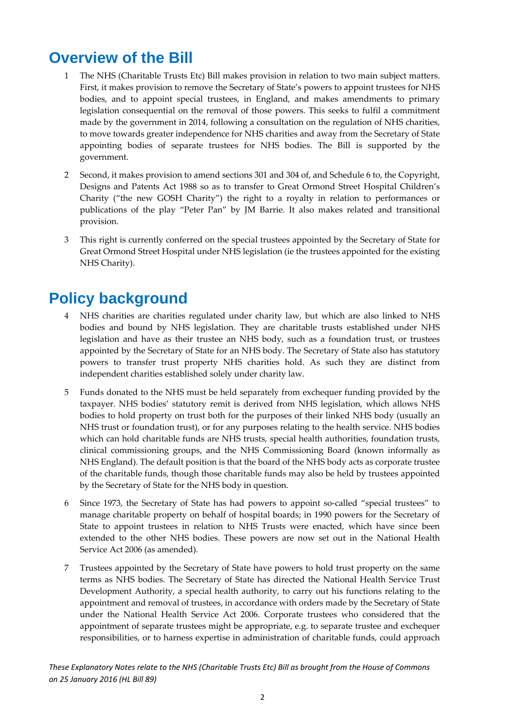## **Overview of the Bill**

- 1 The NHS (Charitable Trusts Etc) Bill makes provision in relation to two main subject matters. First, it makes provision to remove the Secretary of State's powers to appoint trustees for NHS bodies, and to appoint special trustees, in England, and makes amendments to primary legislation consequential on the removal of those powers. This seeks to fulfil a commitment made by the government in 2014, following a consultation on the regulation of NHS charities, to move towards greater independence for NHS charities and away from the Secretary of State appointing bodies of separate trustees for NHS bodies. The Bill is supported by the government.
- 2 Second, it makes provision to amend sections 301 and 304 of, and Schedule 6 to, the Copyright, Designs and Patents Act 1988 so as to transfer to Great Ormond Street Hospital Children's Charity ("the new GOSH Charity") the right to a royalty in relation to performances or publications of the play "Peter Pan" by JM Barrie. It also makes related and transitional provision.
- 3 This right is currently conferred on the special trustees appointed by the Secretary of State for Great Ormond Street Hospital under NHS legislation (ie the trustees appointed for the existing NHS Charity).

### **Policy background**

- 4 NHS charities are charities regulated under charity law, but which are also linked to NHS bodies and bound by NHS legislation. They are charitable trusts established under NHS legislation and have as their trustee an NHS body, such as a foundation trust, or trustees appointed by the Secretary of State for an NHS body. The Secretary of State also has statutory powers to transfer trust property NHS charities hold. As such they are distinct from independent charities established solely under charity law.
- 5 Funds donated to the NHS must be held separately from exchequer funding provided by the taxpayer. NHS bodies' statutory remit is derived from NHS legislation, which allows NHS bodies to hold property on trust both for the purposes of their linked NHS body (usually an NHS trust or foundation trust), or for any purposes relating to the health service. NHS bodies which can hold charitable funds are NHS trusts, special health authorities, foundation trusts, clinical commissioning groups, and the NHS Commissioning Board (known informally as NHS England). The default position is that the board of the NHS body acts as corporate trustee of the charitable funds, though those charitable funds may also be held by trustees appointed by the Secretary of State for the NHS body in question.
- 6 Since 1973, the Secretary of State has had powers to appoint so‐called "special trustees" to manage charitable property on behalf of hospital boards; in 1990 powers for the Secretary of State to appoint trustees in relation to NHS Trusts were enacted, which have since been extended to the other NHS bodies. These powers are now set out in the National Health Service Act 2006 (as amended).
- 7 Trustees appointed by the Secretary of State have powers to hold trust property on the same terms as NHS bodies. The Secretary of State has directed the National Health Service Trust Development Authority, a special health authority, to carry out his functions relating to the appointment and removal of trustees, in accordance with orders made by the Secretary of State under the National Health Service Act 2006. Corporate trustees who considered that the appointment of separate trustees might be appropriate, e.g. to separate trustee and exchequer responsibilities, or to harness expertise in administration of charitable funds, could approach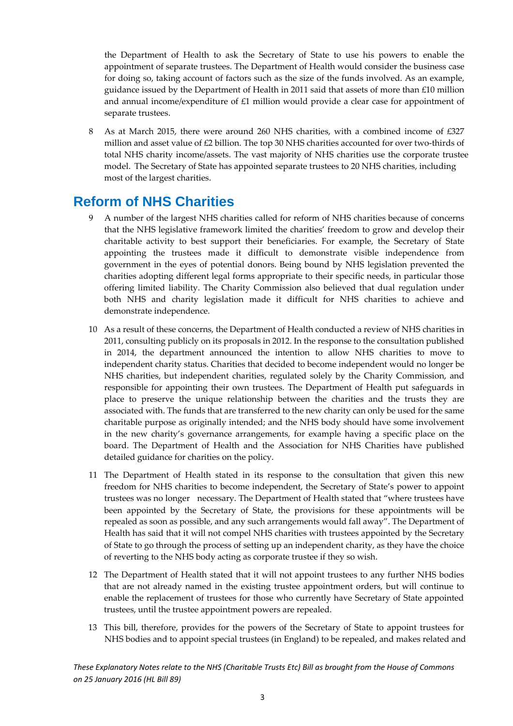the Department of Health to ask the Secretary of State to use his powers to enable the appointment of separate trustees. The Department of Health would consider the business case for doing so, taking account of factors such as the size of the funds involved. As an example, guidance issued by the Department of Health in 2011 said that assets of more than £10 million and annual income/expenditure of £1 million would provide a clear case for appointment of separate trustees.

8 As at March 2015, there were around 260 NHS charities, with a combined income of £327 million and asset value of  $E2$  billion. The top 30 NHS charities accounted for over two-thirds of total NHS charity income/assets. The vast majority of NHS charities use the corporate trustee model. The Secretary of State has appointed separate trustees to 20 NHS charities, including most of the largest charities.

### **Reform of NHS Charities**

- 9 A number of the largest NHS charities called for reform of NHS charities because of concerns that the NHS legislative framework limited the charities' freedom to grow and develop their charitable activity to best support their beneficiaries. For example, the Secretary of State appointing the trustees made it difficult to demonstrate visible independence from government in the eyes of potential donors. Being bound by NHS legislation prevented the charities adopting different legal forms appropriate to their specific needs, in particular those offering limited liability. The Charity Commission also believed that dual regulation under both NHS and charity legislation made it difficult for NHS charities to achieve and demonstrate independence.
- 10 As a result of these concerns, the Department of Health conducted a review of NHS charities in 2011, consulting publicly on its proposals in 2012. In the response to the consultation published in 2014, the department announced the intention to allow NHS charities to move to independent charity status. Charities that decided to become independent would no longer be NHS charities, but independent charities, regulated solely by the Charity Commission, and responsible for appointing their own trustees. The Department of Health put safeguards in place to preserve the unique relationship between the charities and the trusts they are associated with. The funds that are transferred to the new charity can only be used for the same charitable purpose as originally intended; and the NHS body should have some involvement in the new charity's governance arrangements, for example having a specific place on the board. The Department of Health and the Association for NHS Charities have published detailed guidance for charities on the policy.
- 11 The Department of Health stated in its response to the consultation that given this new freedom for NHS charities to become independent, the Secretary of State's power to appoint trustees was no longer necessary. The Department of Health stated that "where trustees have been appointed by the Secretary of State, the provisions for these appointments will be repealed as soon as possible, and any such arrangements would fall away". The Department of Health has said that it will not compel NHS charities with trustees appointed by the Secretary of State to go through the process of setting up an independent charity, as they have the choice of reverting to the NHS body acting as corporate trustee if they so wish.
- 12 The Department of Health stated that it will not appoint trustees to any further NHS bodies that are not already named in the existing trustee appointment orders, but will continue to enable the replacement of trustees for those who currently have Secretary of State appointed trustees, until the trustee appointment powers are repealed.
- 13 This bill, therefore, provides for the powers of the Secretary of State to appoint trustees for NHS bodies and to appoint special trustees (in England) to be repealed, and makes related and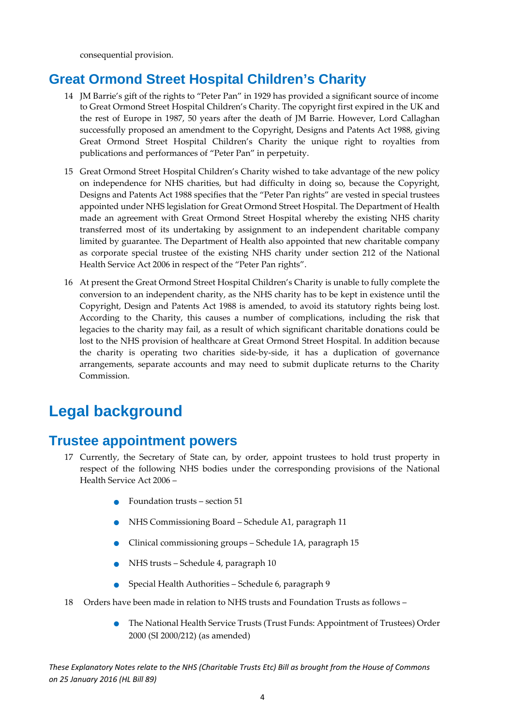consequential provision.

### **Great Ormond Street Hospital Children's Charity**

- 14 JM Barrie's gift of the rights to "Peter Pan" in 1929 has provided a significant source of income to Great Ormond Street Hospital Children's Charity. The copyright first expired in the UK and the rest of Europe in 1987, 50 years after the death of JM Barrie. However, Lord Callaghan successfully proposed an amendment to the Copyright, Designs and Patents Act 1988, giving Great Ormond Street Hospital Children's Charity the unique right to royalties from publications and performances of "Peter Pan" in perpetuity.
- 15 Great Ormond Street Hospital Children's Charity wished to take advantage of the new policy on independence for NHS charities, but had difficulty in doing so, because the Copyright, Designs and Patents Act 1988 specifies that the "Peter Pan rights" are vested in special trustees appointed under NHS legislation for Great Ormond Street Hospital. The Department of Health made an agreement with Great Ormond Street Hospital whereby the existing NHS charity transferred most of its undertaking by assignment to an independent charitable company limited by guarantee. The Department of Health also appointed that new charitable company as corporate special trustee of the existing NHS charity under section 212 of the National Health Service Act 2006 in respect of the "Peter Pan rights".
- 16 At present the Great Ormond Street Hospital Children's Charity is unable to fully complete the conversion to an independent charity, as the NHS charity has to be kept in existence until the Copyright, Design and Patents Act 1988 is amended, to avoid its statutory rights being lost. According to the Charity, this causes a number of complications, including the risk that legacies to the charity may fail, as a result of which significant charitable donations could be lost to the NHS provision of healthcare at Great Ormond Street Hospital. In addition because the charity is operating two charities side‐by‐side, it has a duplication of governance arrangements, separate accounts and may need to submit duplicate returns to the Charity Commission.

### **Legal background**

### **Trustee appointment powers**

- 17 Currently, the Secretary of State can, by order, appoint trustees to hold trust property in respect of the following NHS bodies under the corresponding provisions of the National Health Service Act 2006 –
	- $\bullet$  Foundation trusts section 51
	- NHS Commissioning Board Schedule A1, paragraph <sup>11</sup>
	- Clinical commissioning groups Schedule 1A, paragraph <sup>15</sup>
	- NHS trusts Schedule 4, paragraph <sup>10</sup>
	- Special Health Authorities Schedule 6, paragraph <sup>9</sup>
- 18 Orders have been made in relation to NHS trusts and Foundation Trusts as follows
	- The National Health Service Trusts (Trust Funds: Appointment of Trustees) Order 2000 (SI 2000/212) (as amended)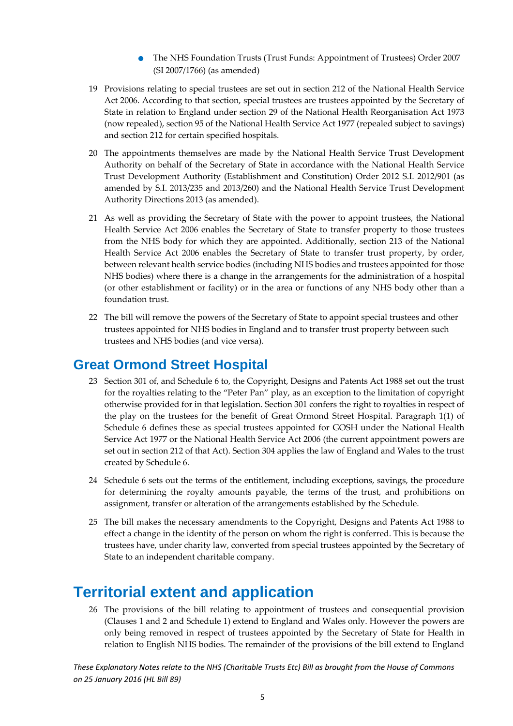- The NHS Foundation Trusts (Trust Funds: Appointment of Trustees) Order <sup>2007</sup> (SI 2007/1766) (as amended)
- 19 Provisions relating to special trustees are set out in section 212 of the National Health Service Act 2006. According to that section, special trustees are trustees appointed by the Secretary of State in relation to England under section 29 of the National Health Reorganisation Act 1973 (now repealed), section 95 of the National Health Service Act 1977 (repealed subject to savings) and section 212 for certain specified hospitals.
- 20 The appointments themselves are made by the National Health Service Trust Development Authority on behalf of the Secretary of State in accordance with the National Health Service Trust Development Authority (Establishment and Constitution) Order 2012 S.I. 2012/901 (as amended by S.I. 2013/235 and 2013/260) and the National Health Service Trust Development Authority Directions 2013 (as amended).
- 21 As well as providing the Secretary of State with the power to appoint trustees, the National Health Service Act 2006 enables the Secretary of State to transfer property to those trustees from the NHS body for which they are appointed. Additionally, section 213 of the National Health Service Act 2006 enables the Secretary of State to transfer trust property, by order, between relevant health service bodies (including NHS bodies and trustees appointed for those NHS bodies) where there is a change in the arrangements for the administration of a hospital (or other establishment or facility) or in the area or functions of any NHS body other than a foundation trust.
- 22 The bill will remove the powers of the Secretary of State to appoint special trustees and other trustees appointed for NHS bodies in England and to transfer trust property between such trustees and NHS bodies (and vice versa).

### **Great Ormond Street Hospital**

- 23 Section 301 of, and Schedule 6 to, the Copyright, Designs and Patents Act 1988 set out the trust for the royalties relating to the "Peter Pan" play, as an exception to the limitation of copyright otherwise provided for in that legislation. Section 301 confers the right to royalties in respect of the play on the trustees for the benefit of Great Ormond Street Hospital. Paragraph 1(1) of Schedule 6 defines these as special trustees appointed for GOSH under the National Health Service Act 1977 or the National Health Service Act 2006 (the current appointment powers are set out in section 212 of that Act). Section 304 applies the law of England and Wales to the trust created by Schedule 6.
- 24 Schedule 6 sets out the terms of the entitlement, including exceptions, savings, the procedure for determining the royalty amounts payable, the terms of the trust, and prohibitions on assignment, transfer or alteration of the arrangements established by the Schedule.
- 25 The bill makes the necessary amendments to the Copyright, Designs and Patents Act 1988 to effect a change in the identity of the person on whom the right is conferred. This is because the trustees have, under charity law, converted from special trustees appointed by the Secretary of State to an independent charitable company.

### **Territorial extent and application**

26 The provisions of the bill relating to appointment of trustees and consequential provision (Clauses 1 and 2 and Schedule 1) extend to England and Wales only. However the powers are only being removed in respect of trustees appointed by the Secretary of State for Health in relation to English NHS bodies. The remainder of the provisions of the bill extend to England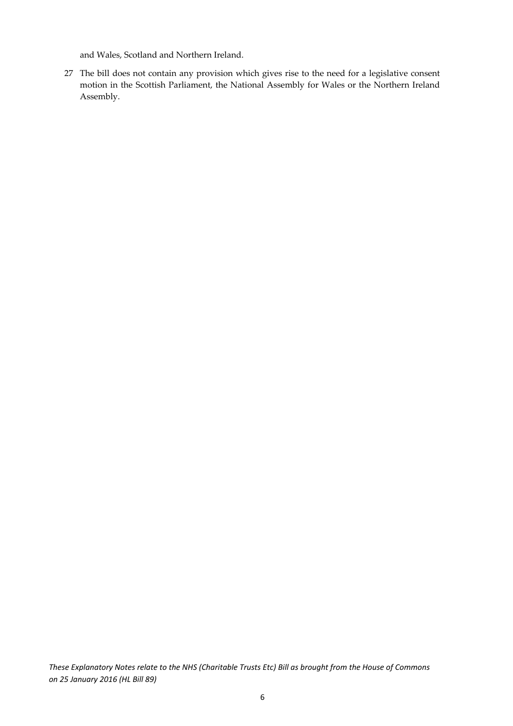and Wales, Scotland and Northern Ireland.

27 The bill does not contain any provision which gives rise to the need for a legislative consent motion in the Scottish Parliament, the National Assembly for Wales or the Northern Ireland Assembly.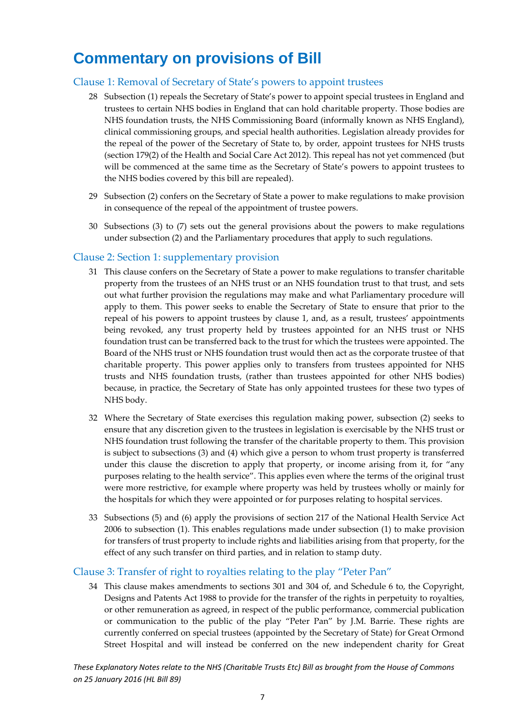## **Commentary on provisions of Bill**

#### Clause 1: Removal of Secretary of State's powers to appoint trustees

- 28 Subsection (1) repeals the Secretary of State's power to appoint special trustees in England and trustees to certain NHS bodies in England that can hold charitable property. Those bodies are NHS foundation trusts, the NHS Commissioning Board (informally known as NHS England), clinical commissioning groups, and special health authorities. Legislation already provides for the repeal of the power of the Secretary of State to, by order, appoint trustees for NHS trusts (section 179(2) of the Health and Social Care Act 2012). This repeal has not yet commenced (but will be commenced at the same time as the Secretary of State's powers to appoint trustees to the NHS bodies covered by this bill are repealed).
- 29 Subsection (2) confers on the Secretary of State a power to make regulations to make provision in consequence of the repeal of the appointment of trustee powers.
- 30 Subsections (3) to (7) sets out the general provisions about the powers to make regulations under subsection (2) and the Parliamentary procedures that apply to such regulations.

#### Clause 2: Section 1: supplementary provision

- 31 This clause confers on the Secretary of State a power to make regulations to transfer charitable property from the trustees of an NHS trust or an NHS foundation trust to that trust, and sets out what further provision the regulations may make and what Parliamentary procedure will apply to them. This power seeks to enable the Secretary of State to ensure that prior to the repeal of his powers to appoint trustees by clause 1, and, as a result, trustees' appointments being revoked, any trust property held by trustees appointed for an NHS trust or NHS foundation trust can be transferred back to the trust for which the trustees were appointed. The Board of the NHS trust or NHS foundation trust would then act as the corporate trustee of that charitable property. This power applies only to transfers from trustees appointed for NHS trusts and NHS foundation trusts, (rather than trustees appointed for other NHS bodies) because, in practice, the Secretary of State has only appointed trustees for these two types of NHS body.
- 32 Where the Secretary of State exercises this regulation making power, subsection (2) seeks to ensure that any discretion given to the trustees in legislation is exercisable by the NHS trust or NHS foundation trust following the transfer of the charitable property to them. This provision is subject to subsections (3) and (4) which give a person to whom trust property is transferred under this clause the discretion to apply that property, or income arising from it, for "any purposes relating to the health service". This applies even where the terms of the original trust were more restrictive, for example where property was held by trustees wholly or mainly for the hospitals for which they were appointed or for purposes relating to hospital services.
- 33 Subsections (5) and (6) apply the provisions of section 217 of the National Health Service Act 2006 to subsection (1). This enables regulations made under subsection (1) to make provision for transfers of trust property to include rights and liabilities arising from that property, for the effect of any such transfer on third parties, and in relation to stamp duty.

#### Clause 3: Transfer of right to royalties relating to the play "Peter Pan"

34 This clause makes amendments to sections 301 and 304 of, and Schedule 6 to, the Copyright, Designs and Patents Act 1988 to provide for the transfer of the rights in perpetuity to royalties, or other remuneration as agreed, in respect of the public performance, commercial publication or communication to the public of the play "Peter Pan" by J.M. Barrie. These rights are currently conferred on special trustees (appointed by the Secretary of State) for Great Ormond Street Hospital and will instead be conferred on the new independent charity for Great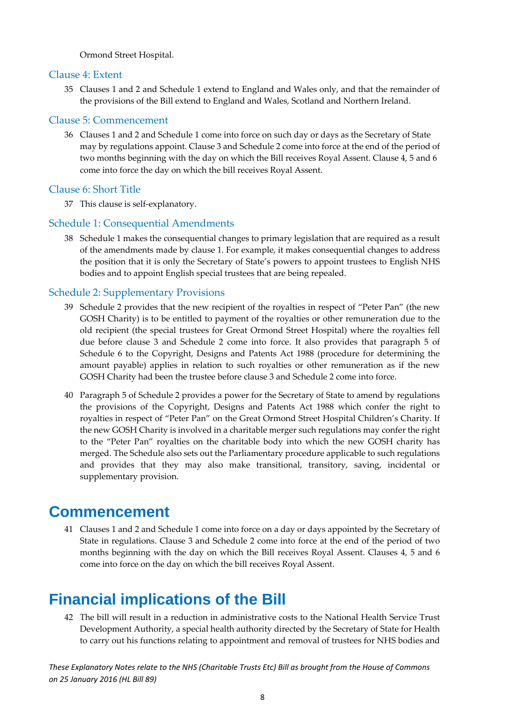Ormond Street Hospital.

#### Clause 4: Extent

35 Clauses 1 and 2 and Schedule 1 extend to England and Wales only, and that the remainder of the provisions of the Bill extend to England and Wales, Scotland and Northern Ireland.

#### Clause 5: Commencement

36 Clauses 1 and 2 and Schedule 1 come into force on such day or days as the Secretary of State may by regulations appoint. Clause 3 and Schedule 2 come into force at the end of the period of two months beginning with the day on which the Bill receives Royal Assent. Clause 4, 5 and 6 come into force the day on which the bill receives Royal Assent.

#### Clause 6: Short Title

37 This clause is self‐explanatory.

#### Schedule 1: Consequential Amendments

38 Schedule 1 makes the consequential changes to primary legislation that are required as a result of the amendments made by clause 1. For example, it makes consequential changes to address the position that it is only the Secretary of State's powers to appoint trustees to English NHS bodies and to appoint English special trustees that are being repealed.

#### Schedule 2: Supplementary Provisions

- 39 Schedule 2 provides that the new recipient of the royalties in respect of "Peter Pan" (the new GOSH Charity) is to be entitled to payment of the royalties or other remuneration due to the old recipient (the special trustees for Great Ormond Street Hospital) where the royalties fell due before clause 3 and Schedule 2 come into force. It also provides that paragraph 5 of Schedule 6 to the Copyright, Designs and Patents Act 1988 (procedure for determining the amount payable) applies in relation to such royalties or other remuneration as if the new GOSH Charity had been the trustee before clause 3 and Schedule 2 come into force.
- 40 Paragraph 5 of Schedule 2 provides a power for the Secretary of State to amend by regulations the provisions of the Copyright, Designs and Patents Act 1988 which confer the right to royalties in respect of "Peter Pan" on the Great Ormond Street Hospital Children's Charity. If the new GOSH Charity is involved in a charitable merger such regulations may confer the right to the "Peter Pan" royalties on the charitable body into which the new GOSH charity has merged. The Schedule also sets out the Parliamentary procedure applicable to such regulations and provides that they may also make transitional, transitory, saving, incidental or supplementary provision.

### **Commencement**

41 Clauses 1 and 2 and Schedule 1 come into force on a day or days appointed by the Secretary of State in regulations. Clause 3 and Schedule 2 come into force at the end of the period of two months beginning with the day on which the Bill receives Royal Assent. Clauses 4, 5 and 6 come into force on the day on which the bill receives Royal Assent.

## **Financial implications of the Bill**

42 The bill will result in a reduction in administrative costs to the National Health Service Trust Development Authority, a special health authority directed by the Secretary of State for Health to carry out his functions relating to appointment and removal of trustees for NHS bodies and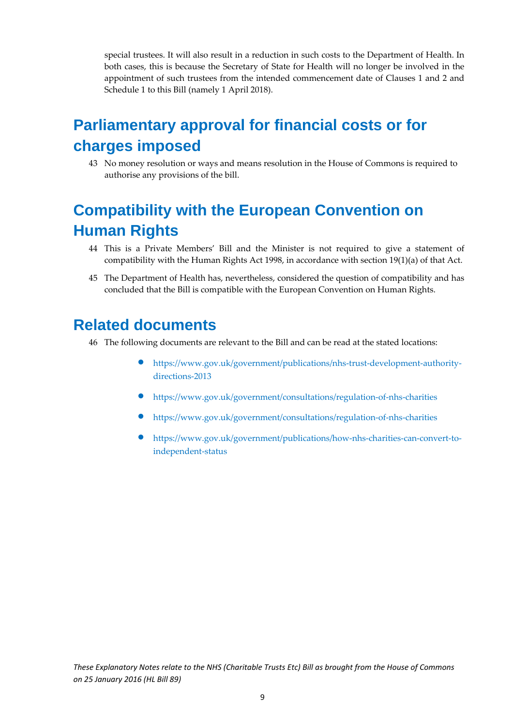special trustees. It will also result in a reduction in such costs to the Department of Health. In both cases, this is because the Secretary of State for Health will no longer be involved in the appointment of such trustees from the intended commencement date of Clauses 1 and 2 and Schedule 1 to this Bill (namely 1 April 2018).

## **Parliamentary approval for financial costs or for charges imposed**

43 No money resolution or ways and means resolution in the House of Commons is required to authorise any provisions of the bill.

## **Compatibility with the European Convention on Human Rights**

- 44 This is a Private Members' Bill and the Minister is not required to give a statement of compatibility with the Human Rights Act 1998, in accordance with section 19(1)(a) of that Act.
- 45 The Department of Health has, nevertheless, considered the question of compatibility and has concluded that the Bill is compatible with the European Convention on Human Rights.

### **Related documents**

- 46 The following documents are relevant to the Bill and can be read at the stated locations:
	- https://www.gov.uk/government/publications/nhs‐trust‐development‐authority‐ directions‐2013
	- https://www.gov.uk/government/consultations/regulation‐of‐nhs‐charities
	- https://www.gov.uk/government/consultations/regulation‐of‐nhs‐charities
	- https://www.gov.uk/government/publications/how-nhs-charities-can-convert-toindependent‐status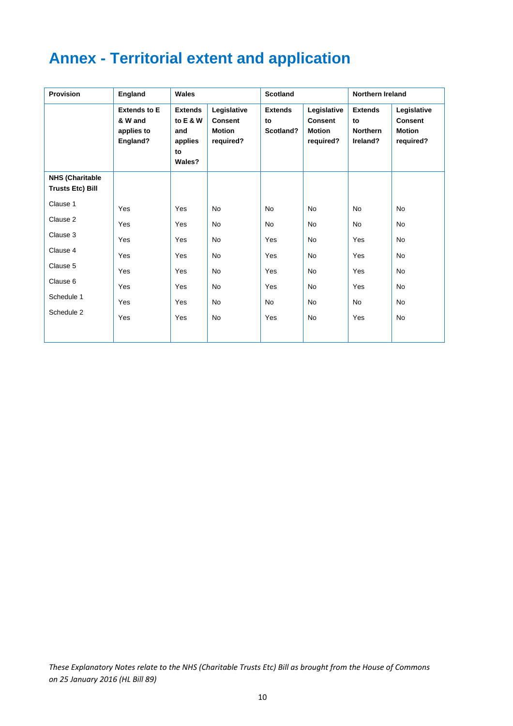## **Annex - Territorial extent and application**

| <b>Provision</b>                                  | England                                                  | Wales                                                        |                                                             | <b>Scotland</b>                   |                                                             | Northern Ireland                                    |                                                             |
|---------------------------------------------------|----------------------------------------------------------|--------------------------------------------------------------|-------------------------------------------------------------|-----------------------------------|-------------------------------------------------------------|-----------------------------------------------------|-------------------------------------------------------------|
|                                                   | <b>Extends to E</b><br>& W and<br>applies to<br>England? | <b>Extends</b><br>to E & W<br>and<br>applies<br>to<br>Wales? | Legislative<br><b>Consent</b><br><b>Motion</b><br>required? | <b>Extends</b><br>to<br>Scotland? | Legislative<br><b>Consent</b><br><b>Motion</b><br>required? | <b>Extends</b><br>to<br><b>Northern</b><br>Ireland? | Legislative<br><b>Consent</b><br><b>Motion</b><br>required? |
| <b>NHS (Charitable</b><br><b>Trusts Etc) Bill</b> |                                                          |                                                              |                                                             |                                   |                                                             |                                                     |                                                             |
| Clause 1                                          | Yes                                                      | Yes                                                          | <b>No</b>                                                   | <b>No</b>                         | <b>No</b>                                                   | <b>No</b>                                           | <b>No</b>                                                   |
| Clause 2                                          | Yes                                                      | Yes                                                          | <b>No</b>                                                   | <b>No</b>                         | <b>No</b>                                                   | <b>No</b>                                           | <b>No</b>                                                   |
| Clause 3                                          | Yes                                                      | Yes                                                          | <b>No</b>                                                   | Yes                               | <b>No</b>                                                   | Yes                                                 | <b>No</b>                                                   |
| Clause 4                                          | Yes                                                      | Yes                                                          | <b>No</b>                                                   | Yes                               | No                                                          | Yes                                                 | <b>No</b>                                                   |
| Clause 5                                          | Yes                                                      | Yes                                                          | <b>No</b>                                                   | Yes                               | <b>No</b>                                                   | Yes                                                 | <b>No</b>                                                   |
| Clause 6                                          | Yes                                                      | Yes                                                          | <b>No</b>                                                   | Yes                               | <b>No</b>                                                   | Yes                                                 | <b>No</b>                                                   |
| Schedule 1                                        | Yes                                                      | Yes                                                          | No                                                          | No                                | <b>No</b>                                                   | No                                                  | <b>No</b>                                                   |
| Schedule 2                                        | Yes                                                      | Yes                                                          | <b>No</b>                                                   | Yes                               | <b>No</b>                                                   | Yes                                                 | <b>No</b>                                                   |